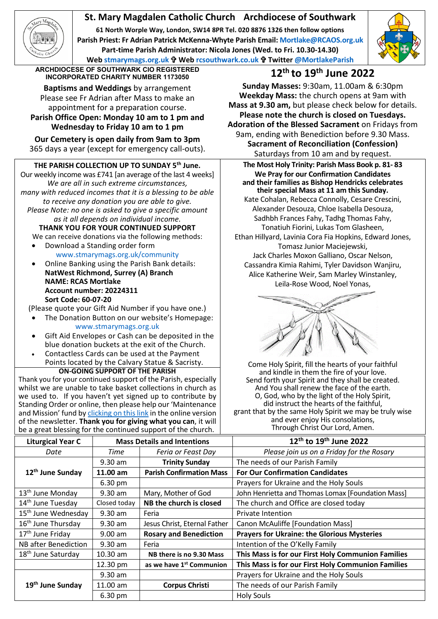# **St. Mary Magdalen Catholic Church Archdiocese of Southwark**

**61 North Worple Way, London, SW14 8PR Tel. 020 8876 1326 then follow options Parish Priest: Fr Adrian Patrick McKenna-Whyte Parish Email[: Mortlake@RCAOS.org.uk](mailto:Mortlake@RCAOS.org.uk) Part-time Parish Administrator: Nicola Jones (Wed. to Fri. 10.30-14.30) Web [stmarymags.org.uk](http://www.stmarymags.org.uk/) Web [rcsouthwark.co.uk](http://www.rcsouthwark.co.uk/) Twitter [@MortlakeParish](https://twitter.com/@mortlakeparish)**



**ARCHDIOCESE OF SOUTHWARK CIO REGISTERED INCORPORATED CHARITY NUMBER 1173050 12th to 19th June 2022**

**Baptisms and Weddings** by arrangement Please see Fr Adrian after Mass to make an appointment for a preparation course. **Parish Office Open: Monday 10 am to 1 pm and Wednesday to Friday 10 am to 1 pm**

**Our Cemetery is open daily from 9am to 3pm** 365 days a year (except for emergency call-outs).

## **THE PARISH COLLECTION UP TO SUNDAY 5th June.**

Our weekly income was £741 [an average of the last 4 weeks] *We are all in such extreme circumstances, many with reduced incomes that it is a blessing to be able to receive any donation you are able to give. Please Note: no one is asked to give a specific amount as it all depends on individual income.*

**THANK YOU FOR YOUR CONTINUED SUPPORT** We can receive donations via the following methods:

- Download a Standing order form [www.stmarymags.org.uk/community](http://www.stmarymags.org.uk/community)
- Online Banking using the Parish Bank details: **NatWest Richmond, Surrey (A) Branch NAME: RCAS Mortlake Account number: 20224311 Sort Code: 60-07-20**

(Please quote your Gift Aid Number if you have one.)

- The Donation Button on our website's Homepage: [www.stmarymags.org.uk](http://www.stmarymags.org.uk/)
- Gift Aid Envelopes or Cash can be deposited in the blue donation buckets at the exit of the Church.
- Contactless Cards can be used at the Payment Points located by the Calvary Statue & Sacristy.

### **ON-GOING SUPPORT OF THE PARISH**

Thank you for your continued support of the Parish, especially whilst we are unable to take basket collections in church as we used to. If you haven't yet signed up to contribute by Standing Order or online, then please help our 'Maintenance and Mission' fund b[y clicking on this link](https://givealittle.co/campaigns/0d894f95-a502-418f-a98b-07a2dc349c74) in the online version of the newsletter. **Thank you for giving what you can**, it will be a great blessing for the continued support of the church.

**Sunday Masses:** 9:30am, 11.00am & 6:30pm **Weekday Mass:** the church opens at 9am with **Mass at 9.30 am,** but please check below for details. **Please note the church is closed on Tuesdays. Adoration of the Blessed Sacrament** on Fridays from 9am, ending with Benediction before 9.30 Mass. **Sacrament of Reconciliation (Confession)** Saturdays from 10 am and by request.

**The Most Holy Trinity: Parish Mass Book p. 81- 83 We Pray for our Confirmation Candidates and their families as Bishop Hendricks celebrates their special Mass at 11 am this Sunday.** Kate Cohalan, Rebecca Connolly, Cesare Crescini, Alexander Desouza, Chloe Isabella Desouza, Sadhbh Frances Fahy, Tadhg Thomas Fahy, Tonatiuh Fiorini, Lukas Tom Glasheen, Ethan Hillyard, Lavinia Cora Fia Hopkins, Edward Jones, Tomasz Junior Maciejewski, Jack Charles Moxon Galliano, Oscar Nelson, Cassandra Kimia Rahimi, Tyler Davidson Wanjiru, Alice Katherine Weir, Sam Marley Winstanley, Leila-Rose Wood, Noel Yonas,



Come Holy Spirit, fill the hearts of your faithful and kindle in them the fire of your love. Send forth your Spirit and they shall be created. And You shall renew the face of the earth. O, God, who by the light of the Holy Spirit, did instruct the hearts of the faithful, grant that by the same Holy Spirit we may be truly wise and ever enjoy His consolations, Through Christ Our Lord, Amen.

| <b>Liturgical Year C</b>        | <b>Mass Details and Intentions</b> |                                      | 12 <sup>th</sup> to 19 <sup>th</sup> June 2022     |
|---------------------------------|------------------------------------|--------------------------------------|----------------------------------------------------|
| Date                            | Time                               | Feria or Feast Day                   | Please join us on a Friday for the Rosary          |
|                                 | $9.30$ am                          | <b>Trinity Sunday</b>                | The needs of our Parish Family                     |
| 12 <sup>th</sup> June Sunday    | 11.00 am                           | <b>Parish Confirmation Mass</b>      | <b>For Our Confirmation Candidates</b>             |
|                                 | 6.30 pm                            |                                      | Prayers for Ukraine and the Holy Souls             |
| 13 <sup>th</sup> June Monday    | $9.30$ am                          | Mary, Mother of God                  | John Henrietta and Thomas Lomax [Foundation Mass]  |
| 14 <sup>th</sup> June Tuesday   | Closed today                       | NB the church is closed              | The church and Office are closed today             |
| 15 <sup>th</sup> June Wednesday | $9.30$ am                          | Feria                                | Private Intention                                  |
| 16 <sup>th</sup> June Thursday  | $9.30$ am                          | Jesus Christ, Eternal Father         | Canon McAuliffe [Foundation Mass]                  |
| 17 <sup>th</sup> June Friday    | $9.00$ am                          | <b>Rosary and Benediction</b>        | <b>Prayers for Ukraine: the Glorious Mysteries</b> |
| <b>NB</b> after Benediction     | $9.30$ am                          | Feria                                | Intention of the O'Kelly Family                    |
| 18 <sup>th</sup> June Saturday  | $10.30$ am                         | NB there is no 9.30 Mass             | This Mass is for our First Holy Communion Families |
|                                 | 12.30 pm                           | as we have 1 <sup>st</sup> Communion | This Mass is for our First Holy Communion Families |
| 19 <sup>th</sup> June Sunday    | 9.30 am                            |                                      | Prayers for Ukraine and the Holy Souls             |
|                                 | 11.00 am                           | <b>Corpus Christi</b>                | The needs of our Parish Family                     |
|                                 | 6.30 pm                            |                                      | <b>Holy Souls</b>                                  |